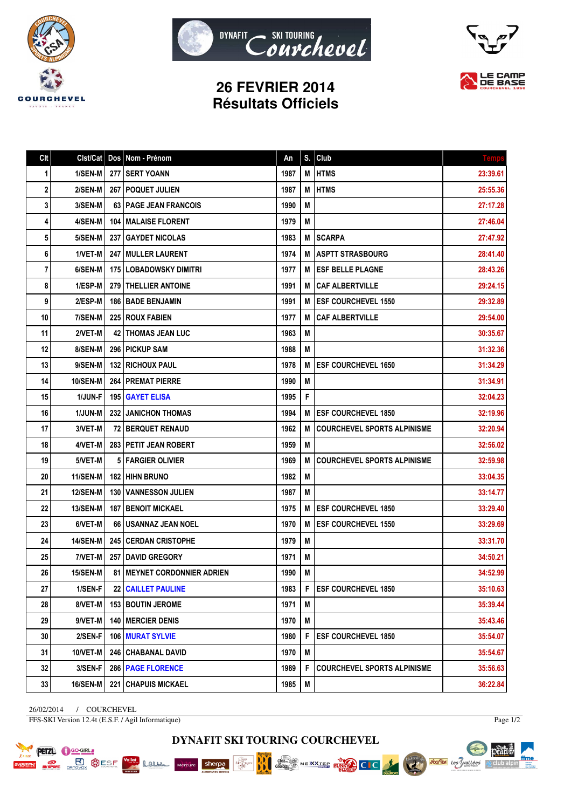





## **26 FEVRIER 2014 Résultats Officiels**

| C <sub>It</sub> | Clst/Cat        |       | Dos Nom - Prénom                | An   | S. | Club                               | <b>Temps</b> |
|-----------------|-----------------|-------|---------------------------------|------|----|------------------------------------|--------------|
| 1               | 1/SEN-M         |       | 277   SERT YOANN                | 1987 | M  | <b>HTMS</b>                        | 23:39.61     |
| 2               | 2/SEN-M         |       | 267   POQUET JULIEN             | 1987 | M  | <b>HTMS</b>                        | 25:55.36     |
| 3               | 3/SEN-M         |       | 63   PAGE JEAN FRANCOIS         | 1990 | M  |                                    | 27:17.28     |
| 4               | 4/SEN-M         |       | <b>104   MALAISE FLORENT</b>    | 1979 | M  |                                    | 27:46.04     |
| 5               | 5/SEN-M         | 237 I | <b>GAYDET NICOLAS</b>           | 1983 | М  | <b>SCARPA</b>                      | 27:47.92     |
| 6               | 1/VET-M         |       | 247 MULLER LAURENT              | 1974 | M  | <b>ASPTT STRASBOURG</b>            | 28:41.40     |
| 7               | 6/SEN-M         |       | <b>175 LOBADOWSKY DIMITRI</b>   | 1977 | M  | <b>ESF BELLE PLAGNE</b>            | 28:43.26     |
| 8               | 1/ESP-M         |       | <b>279   THELLIER ANTOINE</b>   | 1991 | M  | <b>CAF ALBERTVILLE</b>             | 29:24.15     |
| 9               | 2/ESP-M         |       | <b>186 I BADE BENJAMIN</b>      | 1991 | M  | <b>ESF COURCHEVEL 1550</b>         | 29:32.89     |
| 10              | 7/SEN-M         |       | <b>225   ROUX FABIEN</b>        | 1977 | M  | <b>CAF ALBERTVILLE</b>             | 29:54.00     |
| 11              | 2/VET-M         |       | <b>42   THOMAS JEAN LUC</b>     | 1963 | M  |                                    | 30:35.67     |
| 12              | 8/SEN-M         |       | <b>296 I PICKUP SAM</b>         | 1988 | M  |                                    | 31:32.36     |
| 13              | 9/SEN-M         |       | <b>132   RICHOUX PAUL</b>       | 1978 | M  | <b>ESF COURCHEVEL 1650</b>         | 31:34.29     |
| 14              | <b>10/SEN-M</b> |       | <b>264 PREMAT PIERRE</b>        | 1990 | M  |                                    | 31:34.91     |
| 15              | 1/JUN-F         |       | 195 GAYET ELISA                 | 1995 | F  |                                    | 32:04.23     |
| 16              | 1/JUN-M         | 232 I | <b>JANICHON THOMAS</b>          | 1994 | M  | <b>ESF COURCHEVEL 1850</b>         | 32:19.96     |
| 17              | 3/VET-M         |       | 72   BERQUET RENAUD             | 1962 | M  | <b>COURCHEVEL SPORTS ALPINISME</b> | 32:20.94     |
| 18              | 4/VET-M         |       | 283 PETIT JEAN ROBERT           | 1959 | M  |                                    | 32:56.02     |
| 19              | 5/VET-M         |       | 5   FARGIER OLIVIER             | 1969 | M  | <b>COURCHEVEL SPORTS ALPINISME</b> | 32:59.98     |
| 20              | 11/SEN-M        |       | 182 HIHN BRUNO                  | 1982 | M  |                                    | 33:04.35     |
| 21              | <b>12/SEN-M</b> |       | <b>130   VANNESSON JULIEN</b>   | 1987 | M  |                                    | 33:14.77     |
| 22              | <b>13/SEN-M</b> |       | <b>187   BENOIT MICKAEL</b>     | 1975 | M  | <b>ESF COURCHEVEL 1850</b>         | 33:29.40     |
| 23              | 6/VET-M         |       | 66   USANNAZ JEAN NOEL          | 1970 | M  | <b>ESF COURCHEVEL 1550</b>         | 33:29.69     |
| 24              | <b>14/SEN-M</b> |       | 245   CERDAN CRISTOPHE          | 1979 | M  |                                    | 33:31.70     |
| 25              | 7/VET-M         |       | <b>257   DAVID GREGORY</b>      | 1971 | M  |                                    | 34:50.21     |
| 26              | <b>15/SEN-M</b> | 81 I  | <b>MEYNET CORDONNIER ADRIEN</b> | 1990 | M  |                                    | 34:52.99     |
| 27              | 1/SEN-F         |       | 22 CAILLET PAULINE              | 1983 | F  | <b>ESF COURCHEVEL 1850</b>         | 35:10.63     |
| 28              | 8/VET-M         |       | 153 BOUTIN JEROME               | 1971 | M  |                                    | 35:39.44     |
| 29              | 9/VET-M         |       | <b>140 MERCIER DENIS</b>        | 1970 | M  |                                    | 35:43.46     |
| 30              | 2/SEN-F         |       | 106   MURAT SYLVIE              | 1980 | F  | <b>ESF COURCHEVEL 1850</b>         | 35:54.07     |
| 31              | <b>10/VET-M</b> |       | 246   CHABANAL DAVID            | 1970 | M  |                                    | 35:54.67     |
| 32              | 3/SEN-F         |       | 286   PAGE FLORENCE             | 1989 | F  | <b>COURCHEVEL SPORTS ALPINISME</b> | 35:56.63     |
| 33              | 16/SEN-M        |       | 221 CHAPUIS MICKAEL             | 1985 | M  |                                    | 36:22.84     |

26/02/2014 / COURCHEVEL FFS-SKI Version 12.4t (E.S.F. / Agil Informatique)

**PETZL C** GO-GIRL

**ON BURGESE** 

Lamen

Page 1/2

**DYNAFIT SKI TOURING COURCHEVEL**

BBO

 $\begin{array}{c}\n\overbrace{\mathbf{M}}\overbrace{\mathbf{M}}^{\mathbf{M}}\mathbf{M}^{\mathbf{M}}\\
\cdot\mathbf{M}^{\mathbf{M}}\mathbf{M}^{\mathbf{M}}\mathbf{M}^{\mathbf{M}}\\
\cdot\mathbf{M}^{\mathbf{M}}\mathbf{M}^{\mathbf{M}}\n\end{array}$ 

Mercure Sherpa